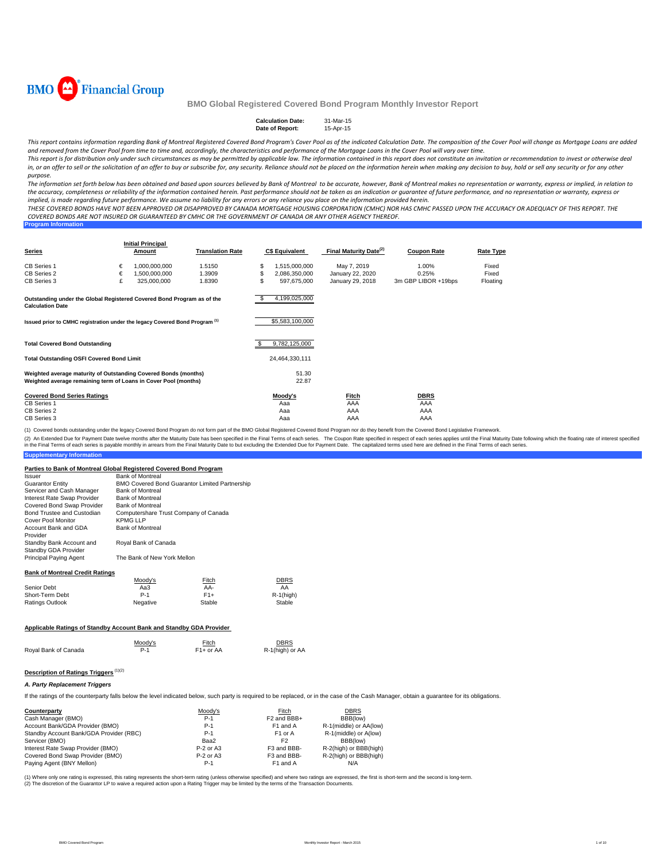

| <b>Calculation Date:</b> | 31-Mar-15 |
|--------------------------|-----------|
| Date of Report:          | 15-Apr-15 |

This report contains information regarding Bank of Montreal Registered Covered Bond Program's Cover Pool as of the indicated Calculation Date. The composition of the Cover Pool will change as Mortgage Loans are added and removed from the Cover Pool from time to time and, accordingly, the characteristics and performance of the Mortgage Loans in the Cover Pool will vary over time.

This report is for distribution only under such circumstances as may be permitted by applicable law. The information contained in this report does not constitute an invitation or recommendation to invest or otherwise deal in, or an offer to sell or the solicitation of an offer to buy or subscribe for, any security. Reliance should not be placed on the information herein when making any decision to buy, hold or sell any security or for any o *purpose.*

The information set forth below has been obtained and based upon sources believed by Bank of Montreal to be accurate, however, Bank of Montreal makes no representation or warranty, express or implied, in relation to the accuracy, completeness or reliability of the information contained herein. Past performance should not be taken as an indication or guarantee of future performance, and no representation or warranty, express or implied, is made regarding future performance. We assume no liability for any errors or any reliance you place on the information provided herein.

THESE COVERED BONDS HAVE NOT BEEN APPROVED OR DISAPPROVED BY CANADA MORTGAGE HOUSING CORPORATION (CMHC) NOR HAS CMHC PASSED UPON THE ACCURACY OR ADEQUACY OF THIS REPORT. THE COVERED BONDS ARE NOT INSURED OR GUARANTEED BY CMHC OR THE GOVERNMENT OF CANADA OR ANY OTHER AGENCY THEREOF.

| <b>Program Information</b> |
|----------------------------|
|----------------------------|

| <b>Series</b>                                                                                                                      |             | <b>Initial Principal</b><br>Amount            | <b>Translation Rate</b>    |                | <b>C\$ Equivalent</b>                         | Final Maturity Date <sup>(2)</sup>                  | <b>Coupon Rate</b>                    | <b>Rate Type</b>           |
|------------------------------------------------------------------------------------------------------------------------------------|-------------|-----------------------------------------------|----------------------------|----------------|-----------------------------------------------|-----------------------------------------------------|---------------------------------------|----------------------------|
| <b>CB Series 1</b><br>CB Series 2<br>CB Series 3                                                                                   | €<br>€<br>£ | 1,000,000,000<br>1,500,000,000<br>325,000,000 | 1.5150<br>1.3909<br>1.8390 | \$<br>\$<br>\$ | 1,515,000,000<br>2,086,350,000<br>597,675,000 | May 7, 2019<br>January 22, 2020<br>January 29, 2018 | 1.00%<br>0.25%<br>3m GBP LIBOR +19bps | Fixed<br>Fixed<br>Floating |
| Outstanding under the Global Registered Covered Bond Program as of the<br><b>Calculation Date</b>                                  |             |                                               |                            | -S             | 4,199,025,000                                 |                                                     |                                       |                            |
| Issued prior to CMHC registration under the legacy Covered Bond Program <sup>(1)</sup>                                             |             |                                               |                            |                | \$5,583,100,000                               |                                                     |                                       |                            |
| <b>Total Covered Bond Outstanding</b>                                                                                              |             |                                               |                            | \$.            | 9,782,125,000                                 |                                                     |                                       |                            |
| <b>Total Outstanding OSFI Covered Bond Limit</b>                                                                                   |             |                                               |                            |                | 24,464,330,111                                |                                                     |                                       |                            |
| Weighted average maturity of Outstanding Covered Bonds (months)<br>Weighted average remaining term of Loans in Cover Pool (months) |             |                                               |                            |                | 51.30<br>22.87                                |                                                     |                                       |                            |
| <b>Covered Bond Series Ratings</b><br>CB Series 1<br>CB Series 2<br>CB Series 3                                                    |             |                                               |                            |                | Moody's<br>Aaa<br>Aaa<br>Aaa                  | Fitch<br>AAA<br>AAA<br>AAA                          | <b>DBRS</b><br>AAA<br>AAA<br>AAA      |                            |

(1) Covered bonds outstanding under the legacy Covered Bond Program do not form part of the BMO Global Registered Covered Bond Program nor do they benefit from the Covered Bond Legislative Framework.

(2) An Extended Due for Payment Date welve months after the Maturity Date has been specified in the Final Terms of each series. The Coupon Rate specified mespect of each series specified in expects and be for Payment Date.

#### **Supp**

#### **Parties to Bank of Montreal Global Registered Covered Bond Program**

| Issuer                                                                     | <b>Bank of Montreal</b>               |                                                       |                 |
|----------------------------------------------------------------------------|---------------------------------------|-------------------------------------------------------|-----------------|
| <b>Guarantor Entity</b>                                                    |                                       | <b>BMO Covered Bond Guarantor Limited Partnership</b> |                 |
| Servicer and Cash Manager                                                  | <b>Bank of Montreal</b>               |                                                       |                 |
| Interest Rate Swap Provider                                                | <b>Bank of Montreal</b>               |                                                       |                 |
| Covered Bond Swap Provider                                                 | <b>Bank of Montreal</b>               |                                                       |                 |
| Bond Trustee and Custodian                                                 | Computershare Trust Company of Canada |                                                       |                 |
| Cover Pool Monitor                                                         | <b>KPMG LLP</b>                       |                                                       |                 |
| Account Bank and GDA<br>Provider                                           | <b>Bank of Montreal</b>               |                                                       |                 |
| Standby Bank Account and                                                   | Royal Bank of Canada                  |                                                       |                 |
| Standby GDA Provider                                                       |                                       |                                                       |                 |
| Principal Paying Agent                                                     | The Bank of New York Mellon           |                                                       |                 |
| <b>Bank of Montreal Credit Ratings</b>                                     |                                       |                                                       |                 |
|                                                                            | Moody's                               | Fitch                                                 | DBRS            |
| Senior Debt                                                                | Aa3                                   | AA-                                                   | AA              |
| Short-Term Debt                                                            | $P-1$                                 | $F1+$                                                 | $R-1$ (high)    |
| Ratings Outlook                                                            | Negative                              | Stable                                                | Stable          |
| <b>Applicable Ratings of Standby Account Bank and Standby GDA Provider</b> |                                       |                                                       |                 |
|                                                                            | Moody's                               | Fitch                                                 | DBRS            |
| Royal Bank of Canada                                                       | $P-1$                                 | $F1+$ or AA                                           | R-1(high) or AA |

# **Description of Ratings Triggers** (1)(2)

#### *A. Party Replacement Triggers*

If the ratings of the counterparty falls below the level indicated below, such party is required to be replaced, or in the case of the Cash Manager, obtain a guarantee for its obligations.

| Counterparty                            | Moodv's     | Fitch                   | <b>DBRS</b>            |
|-----------------------------------------|-------------|-------------------------|------------------------|
| Cash Manager (BMO)                      | $P-1$       | F <sub>2</sub> and BBB+ | BBB(low)               |
| Account Bank/GDA Provider (BMO)         | $P-1$       | F1 and A                | R-1(middle) or AA(low) |
| Standby Account Bank/GDA Provider (RBC) | $P-1$       | F <sub>1</sub> or A     | R-1(middle) or A(low)  |
| Servicer (BMO)                          | Baa2        | F <sub>2</sub>          | BBB(low)               |
| Interest Rate Swap Provider (BMO)       | $P-2$ or A3 | F3 and BBB-             | R-2(high) or BBB(high) |
| Covered Bond Swap Provider (BMO)        | $P-2$ or A3 | F3 and BBB-             | R-2(high) or BBB(high) |
| Paying Agent (BNY Mellon)               | $P-1$       | F <sub>1</sub> and A    | N/A                    |

(1) Where only one rating is expressed, this rating represents the short-term rating (unless otherwise specified) and where two ratings are expressed, the first is short-term and the second is long-term.<br>(2) The discretion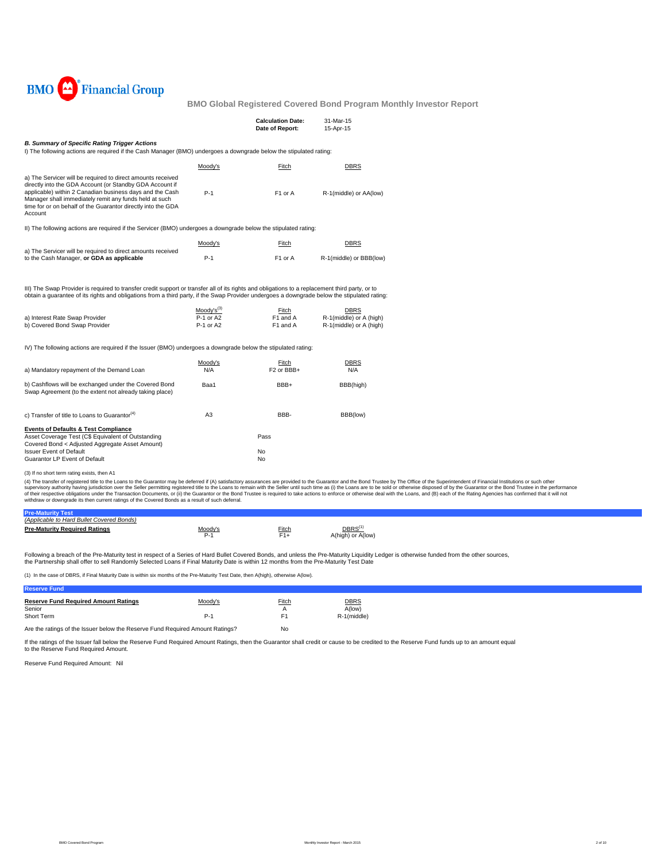

|                                                                                                                                                                                                                                                                                                                          |                             | <b>Calculation Date:</b><br>Date of Report: | 31-Mar-15<br>15-Apr-15                             |
|--------------------------------------------------------------------------------------------------------------------------------------------------------------------------------------------------------------------------------------------------------------------------------------------------------------------------|-----------------------------|---------------------------------------------|----------------------------------------------------|
| <b>B. Summary of Specific Rating Trigger Actions</b><br>I) The following actions are required if the Cash Manager (BMO) undergoes a downgrade below the stipulated rating:                                                                                                                                               |                             |                                             |                                                    |
|                                                                                                                                                                                                                                                                                                                          | Moodv's                     | Fitch                                       | <b>DBRS</b>                                        |
| a) The Servicer will be required to direct amounts received<br>directly into the GDA Account (or Standby GDA Account if<br>applicable) within 2 Canadian business days and the Cash<br>Manager shall immediately remit any funds held at such<br>time for or on behalf of the Guarantor directly into the GDA<br>Account | $P-1$                       | F <sub>1</sub> or A                         | R-1(middle) or AA(low)                             |
| II) The following actions are required if the Servicer (BMO) undergoes a downgrade below the stipulated rating:                                                                                                                                                                                                          |                             |                                             |                                                    |
|                                                                                                                                                                                                                                                                                                                          | Moody's                     | Fitch                                       | <b>DBRS</b>                                        |
| a) The Servicer will be required to direct amounts received<br>to the Cash Manager, or GDA as applicable                                                                                                                                                                                                                 | $P-1$                       | F <sub>1</sub> or A                         | R-1(middle) or BBB(low)                            |
| III) The Swap Provider is required to transfer credit support or transfer all of its rights and obligations to a replacement third party, or to<br>obtain a quarantee of its rights and obligations from a third party, if the Swap Provider undergoes a downgrade below the stipulated rating:                          |                             |                                             |                                                    |
|                                                                                                                                                                                                                                                                                                                          | $Mody's^{(3)}$<br>P-1 or A2 | Fitch<br>F1 and A                           | <b>DBRS</b>                                        |
| a) Interest Rate Swap Provider<br>b) Covered Bond Swap Provider                                                                                                                                                                                                                                                          | P-1 or A2                   | F1 and A                                    | R-1(middle) or A (high)<br>R-1(middle) or A (high) |
| IV) The following actions are required if the Issuer (BMO) undergoes a downgrade below the stipulated rating:                                                                                                                                                                                                            |                             |                                             |                                                    |
|                                                                                                                                                                                                                                                                                                                          | Moody's                     | Fitch                                       | <b>DBRS</b>                                        |
| a) Mandatory repayment of the Demand Loan                                                                                                                                                                                                                                                                                | N/A                         | F <sub>2</sub> or BB <sub>H</sub>           | N/A                                                |
| b) Cashflows will be exchanged under the Covered Bond<br>Swap Agreement (to the extent not already taking place)                                                                                                                                                                                                         | Baa1                        | BBB+                                        | BBB(high)                                          |
| c) Transfer of title to Loans to Guarantor <sup>(4)</sup>                                                                                                                                                                                                                                                                | A <sub>3</sub>              | BBB-                                        | BBB(low)                                           |
| <b>Events of Defaults &amp; Test Compliance</b><br>Asset Coverage Test (C\$ Equivalent of Outstanding<br>Covered Bond < Adjusted Aggregate Asset Amount)                                                                                                                                                                 |                             | Pass                                        |                                                    |
| <b>Issuer Event of Default</b><br>Guarantor LP Event of Default                                                                                                                                                                                                                                                          |                             | No<br>No                                    |                                                    |
|                                                                                                                                                                                                                                                                                                                          |                             |                                             |                                                    |

(3) If no short term rating exists, then A1

(4) The transfer of registered title to the Loans to the Guarantor may be deferred if (A) satisfactory assurances are provided to the Guarantor and the Bond Trustee by The Office of the Superintendent of Financial Institut

| (Applicable to Hard Bullet Covered Bonds) |              |       |                                      |  |
|-------------------------------------------|--------------|-------|--------------------------------------|--|
| Pre-Maturity Required Ratings             | Moody'<br>-- | Fitch | <b>DBRS</b><br>) or A(low<br>A(high) |  |

Following a breach of the Pre-Maturity test in respect of a Series of Hard Bullet Covered Bonds, and unless the Pre-Maturity Liquidity Ledger is otherwise funded from the other sources, the Partnership shall offer to sell Randomly Selected Loans if Final Maturity Date is within 12 months from the Pre-Maturity Test Date

(1) In the case of DBRS, if Final Maturity Date is within six months of the Pre-Maturity Test Date, then A(high), otherwise A(low).

| Fitch<br><b>DBRS</b><br><b>Reserve Fund Required Amount Ratings</b><br>Moodv's<br>A(low)<br>Senior<br>Short Term<br>E.<br>R-1(middle)<br>P-<br>. |
|--------------------------------------------------------------------------------------------------------------------------------------------------|
|                                                                                                                                                  |
|                                                                                                                                                  |

Are the ratings of the Issuer below the Reserve Fund Required Amount Ratings? No

If the ratings of the Issuer fall below the Reserve Fund Required Amount Ratings, then the Guarantor shall credit or cause to be credited to the Reserve Fund funds up to an amount equal to the Reserve Fund Required Amount.

Reserve Fund Required Amount: Nil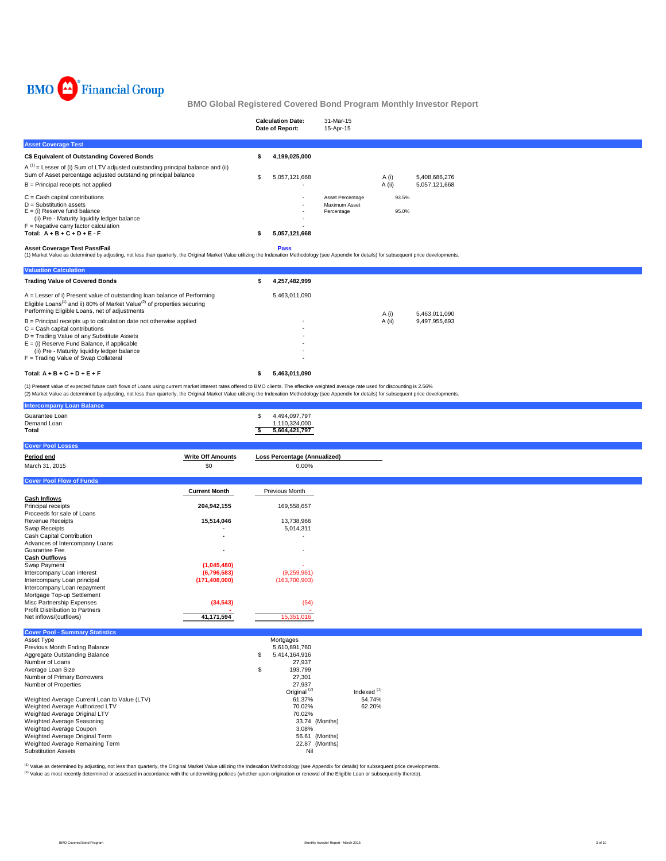

|                                                                                                                                                        | <b>Calculation Date:</b><br>Date of Report: | 31-Mar-15<br>15-Apr-15            |        |               |
|--------------------------------------------------------------------------------------------------------------------------------------------------------|---------------------------------------------|-----------------------------------|--------|---------------|
| <b>Asset Coverage Test</b>                                                                                                                             |                                             |                                   |        |               |
| C\$ Equivalent of Outstanding Covered Bonds                                                                                                            | 4,199,025,000                               |                                   |        |               |
| $A^{(1)}$ = Lesser of (i) Sum of LTV adjusted outstanding principal balance and (ii)<br>Sum of Asset percentage adjusted outstanding principal balance | \$<br>5,057,121,668                         |                                   | A (i)  | 5,408,686,276 |
| $B =$ Principal receipts not applied                                                                                                                   |                                             |                                   | A (ii) | 5,057,121,668 |
| $C =$ Cash capital contributions<br>$D =$ Substitution assets                                                                                          |                                             | Asset Percentage<br>Maximum Asset | 93.5%  |               |
| $E =$ (i) Reserve fund balance<br>(ii) Pre - Maturity liquidity ledger balance                                                                         |                                             | Percentage                        | 95.0%  |               |
| $F =$ Negative carry factor calculation                                                                                                                |                                             |                                   |        |               |
| Total: $A + B + C + D + E - F$                                                                                                                         | 5,057,121,668                               |                                   |        |               |
| $\sim$ $\sim$ $\sim$ $\sim$ $\sim$ $\sim$ $\sim$ $\sim$                                                                                                | $\sim$ $\sim$                               |                                   |        |               |

Asset Coverage Test Pass/Fail<br>(1) Market Value as determined by adjusting, not less than quarterly, the Original Market Value utilizing the Indexation Methodology (see Appendix for details) for subsequent price development

| <b>Valuation Calculation</b>                                                                                                                                                                                                 |               |        |               |
|------------------------------------------------------------------------------------------------------------------------------------------------------------------------------------------------------------------------------|---------------|--------|---------------|
| <b>Trading Value of Covered Bonds</b>                                                                                                                                                                                        | 4,257,482,999 |        |               |
| A = Lesser of i) Present value of outstanding loan balance of Performing<br>Eligible Loans <sup>(1)</sup> and ii) 80% of Market Value <sup>(2)</sup> of properties securing<br>Performing Eligible Loans, net of adjustments | 5.463.011.090 | A (i)  | 5.463.011.090 |
| $B =$ Principal receipts up to calculation date not otherwise applied                                                                                                                                                        |               | A (ii) | 9.497.955.693 |
| $C =$ Cash capital contributions                                                                                                                                                                                             |               |        |               |
| D = Trading Value of any Substitute Assets                                                                                                                                                                                   |               |        |               |
| $E =$ (i) Reserve Fund Balance, if applicable                                                                                                                                                                                |               |        |               |
| (ii) Pre - Maturity liquidity ledger balance                                                                                                                                                                                 |               |        |               |
| F = Trading Value of Swap Collateral                                                                                                                                                                                         |               |        |               |
| Total: $A + B + C + D + E + F$                                                                                                                                                                                               | 5.463.011.090 |        |               |

(1) Present value of expected future cash flows of Loans using current market interest rates offered to BMO clients. The effective weighted average rate used for discounting is 2.56%<br>(2) Market Value as determined by adjus

| <b>Intercompany Loan Balance</b>             |                          |                                     |                        |  |
|----------------------------------------------|--------------------------|-------------------------------------|------------------------|--|
| Guarantee Loan                               |                          | 4,494,097,797<br>S                  |                        |  |
| Demand Loan                                  |                          | 1,110,324,000                       |                        |  |
| Total                                        |                          | \$<br>5,604,421,797                 |                        |  |
| <b>Cover Pool Losses</b>                     |                          |                                     |                        |  |
| Period end                                   | <b>Write Off Amounts</b> | <b>Loss Percentage (Annualized)</b> |                        |  |
| March 31, 2015                               | \$0                      | 0.00%                               |                        |  |
| <b>Cover Pool Flow of Funds</b>              |                          |                                     |                        |  |
|                                              | <b>Current Month</b>     | Previous Month                      |                        |  |
| <b>Cash Inflows</b>                          |                          |                                     |                        |  |
| Principal receipts                           | 204,942,155              | 169,558,657                         |                        |  |
| Proceeds for sale of Loans                   |                          |                                     |                        |  |
| <b>Revenue Receipts</b>                      | 15,514,046               | 13,738,966                          |                        |  |
| <b>Swap Receipts</b>                         |                          | 5,014,311                           |                        |  |
| Cash Capital Contribution                    |                          | ٠                                   |                        |  |
| Advances of Intercompany Loans               |                          |                                     |                        |  |
| Guarantee Fee                                |                          | ٠                                   |                        |  |
| <b>Cash Outflows</b>                         |                          |                                     |                        |  |
| Swap Payment                                 | (1,045,480)              |                                     |                        |  |
| Intercompany Loan interest                   | (6,796,583)              | (9,259,961)                         |                        |  |
| Intercompany Loan principal                  | (171, 408, 000)          | (163, 700, 903)                     |                        |  |
| Intercompany Loan repayment                  |                          |                                     |                        |  |
| Mortgage Top-up Settlement                   |                          |                                     |                        |  |
| Misc Partnership Expenses                    | (34, 543)                | (54)                                |                        |  |
| Profit Distribution to Partners              |                          |                                     |                        |  |
| Net inflows/(outflows)                       | 41,171,594               | 15,351,016                          |                        |  |
| <b>Cover Pool - Summary Statistics</b>       |                          |                                     |                        |  |
| Asset Type                                   |                          | Mortgages                           |                        |  |
| Previous Month Ending Balance                |                          | 5,610,891,760                       |                        |  |
| Aggregate Outstanding Balance                |                          | \$<br>5,414,164,916                 |                        |  |
| Number of Loans                              |                          | 27,937                              |                        |  |
| Average Loan Size                            |                          | 193,799<br>\$                       |                        |  |
| Number of Primary Borrowers                  |                          | 27,301                              |                        |  |
| Number of Properties                         |                          | 27,937                              |                        |  |
|                                              |                          | Original <sup>(2)</sup>             | Indexed <sup>(1)</sup> |  |
| Weighted Average Current Loan to Value (LTV) |                          | 61.37%                              | 54.74%                 |  |
| Weighted Average Authorized LTV              |                          | 70.02%                              | 62.20%                 |  |

Weighted Average Original LTV<br>
Weighted Average Seasoning<br>
23.74 (Months) Weighted Average Seasoning<br>Weighted Average Coupon 3.08%<br>Weighted Average Original Term 3.08% 3.08% 2.881 (Months)<br>Weighted Average Remaining Term 3.22.87 (Months) Substitution Assets Nil

(1) Value as determined by adjusting, not less than quarterly, the Original Market Value utilizing the Indexation Methodology (see Appendix for details) for subsequent price developments. (2) Value as most recently determined or assessed in accordance with the underwriting policies (whether upon origination or renewal of the Eligible Loan or subsequently thereto).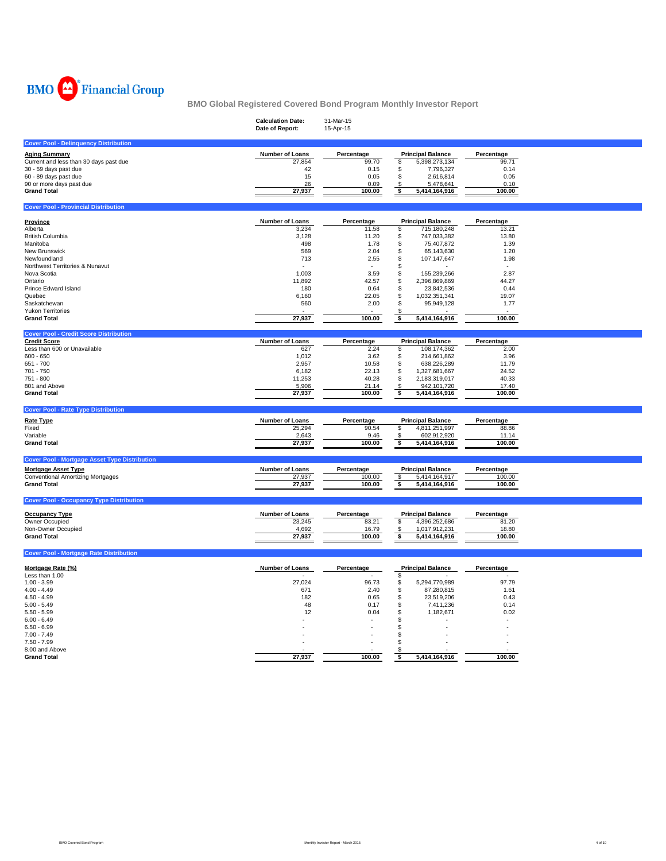

|                                                      | <b>Calculation Date:</b><br>Date of Report: | 31-Mar-15<br>15-Apr-15 |                                                 |                     |  |
|------------------------------------------------------|---------------------------------------------|------------------------|-------------------------------------------------|---------------------|--|
| <b>Cover Pool - Delinquency Distribution</b>         |                                             |                        |                                                 |                     |  |
| <b>Aging Summary</b>                                 | Number of Loans                             | Percentage             | <b>Principal Balance</b>                        | Percentage          |  |
| Current and less than 30 days past due               | 27,854                                      | 99.70                  | \$<br>5,398,273,134                             | 99.71               |  |
| 30 - 59 days past due                                | 42                                          | 0.15                   | \$<br>7,796,327                                 | 0.14                |  |
| 60 - 89 days past due                                | 15                                          | 0.05                   | \$<br>2,616,814                                 | 0.05                |  |
| 90 or more days past due                             | 26                                          | 0.09                   | \$<br>5,478,641                                 | 0.10                |  |
| <b>Grand Total</b>                                   | 27,937                                      | 100.00                 | \$<br>5,414,164,916                             | 100.00              |  |
| <b>Cover Pool - Provincial Distribution</b>          |                                             |                        |                                                 |                     |  |
|                                                      |                                             |                        |                                                 |                     |  |
| Province<br>Alberta                                  | Number of Loans<br>3,234                    | Percentage<br>11.58    | <b>Principal Balance</b><br>\$<br>715,180,248   | Percentage<br>13.21 |  |
| <b>British Columbia</b>                              | 3,128                                       | 11.20                  | \$<br>747,033,382                               | 13.80               |  |
| Manitoba                                             | 498                                         | 1.78                   | \$<br>75,407,872                                | 1.39                |  |
| New Brunswick                                        | 569                                         | 2.04                   | \$<br>65,143,630                                | 1.20                |  |
| Newfoundland                                         | 713                                         | 2.55                   | \$<br>107,147,647                               | 1.98                |  |
| Northwest Territories & Nunavut                      |                                             |                        | \$                                              |                     |  |
| Nova Scotia                                          | 1,003                                       | 3.59                   | \$<br>155,239,266                               | 2.87                |  |
| Ontario                                              | 11,892                                      | 42.57                  | \$<br>2,396,869,869                             | 44.27               |  |
| Prince Edward Island                                 | 180                                         | 0.64                   | \$<br>23,842,536                                | 0.44                |  |
| Quebec                                               | 6,160                                       | 22.05                  | \$<br>1,032,351,341                             | 19.07               |  |
| Saskatchewan                                         | 560                                         | 2.00                   | \$<br>95,949,128                                | 1.77                |  |
| <b>Yukon Territories</b>                             |                                             |                        | -S                                              |                     |  |
| <b>Grand Total</b>                                   | 27,937                                      | 100.00                 | 5,414,164,916<br>\$                             | 100.00              |  |
| <b>Cover Pool - Credit Score Distribution</b>        |                                             |                        |                                                 |                     |  |
| <b>Credit Score</b>                                  | <b>Number of Loans</b>                      | Percentage             | <b>Principal Balance</b>                        | Percentage          |  |
| Less than 600 or Unavailable                         | 627                                         | 2.24                   | \$<br>108,174,362                               | 2.00                |  |
| $600 - 650$                                          | 1,012                                       | 3.62                   | \$<br>214,661,862                               | 3.96                |  |
| 651 - 700                                            | 2,957                                       | 10.58                  | \$<br>638,226,289                               | 11.79               |  |
| 701 - 750                                            | 6,182                                       | 22.13                  | \$<br>1,327,681,667                             | 24.52               |  |
| 751 - 800                                            | 11,253                                      | 40.28                  | \$<br>2,183,319,017                             | 40.33               |  |
|                                                      |                                             |                        |                                                 |                     |  |
| 801 and Above                                        | 5,906                                       | 21.14                  | \$<br>942,101,720                               | 17.40               |  |
| <b>Grand Total</b>                                   | 27,937                                      | 100.00                 | \$<br>5,414,164,916                             | 100.00              |  |
|                                                      |                                             |                        |                                                 |                     |  |
| <b>Cover Pool - Rate Type Distribution</b>           |                                             |                        |                                                 |                     |  |
| <b>Rate Type</b>                                     | <b>Number of Loans</b>                      | Percentage             | <b>Principal Balance</b>                        | Percentage          |  |
| Fixed                                                | 25,294                                      | 90.54                  | \$<br>4,811,251,997                             | 88.86               |  |
| Variable<br><b>Grand Total</b>                       | 2,643<br>27,937                             | 9.46<br>100.00         | 602,912,920<br>\$<br>\$                         | 11.14<br>100.00     |  |
|                                                      |                                             |                        | 5,414,164,916                                   |                     |  |
| <b>Cover Pool - Mortgage Asset Type Distribution</b> |                                             |                        |                                                 |                     |  |
| <b>Mortgage Asset Type</b>                           | Number of Loans                             | Percentage             | <b>Principal Balance</b>                        | Percentage          |  |
| <b>Conventional Amortizing Mortgages</b>             | 27,937                                      | 100.00                 | 5,414,164,917                                   | 100.00              |  |
| <b>Grand Total</b>                                   | 27,937                                      | 100.00                 | $\overline{\mathcal{S}}$<br>\$<br>5,414,164,916 | 100.00              |  |
| <b>Cover Pool - Occupancy Type Distribution</b>      |                                             |                        |                                                 |                     |  |
|                                                      |                                             |                        |                                                 |                     |  |
| <b>Occupancy Type</b>                                | Number of Loans                             | Percentage             | <b>Principal Balance</b>                        | Percentage          |  |
| Owner Occupied                                       | 23,245                                      | 83.21                  | \$<br>4,396,252,686                             | 81.20               |  |
| Non-Owner Occupied                                   | 4,692                                       | 16.79                  | \$<br>1,017,912,231                             | 18.80               |  |
| <b>Grand Total</b>                                   | 27,937                                      | 100.00                 | \$<br>5,414,164,916                             | 100.00              |  |
| <b>Cover Pool - Mortgage Rate Distribution</b>       |                                             |                        |                                                 |                     |  |
|                                                      |                                             |                        |                                                 |                     |  |
| Mortgage Rate (%)                                    | Number of Loans                             | Percentage             | <b>Principal Balance</b>                        | Percentage          |  |
| Less than 1.00                                       |                                             |                        | \$                                              |                     |  |
| $1.00 - 3.99$                                        | 27,024                                      | 96.73                  | \$<br>5,294,770,989                             | 97.79               |  |
| $4.00 - 4.49$                                        | 671                                         | 2.40                   | \$<br>87,280,815                                | 1.61                |  |
| $4.50 - 4.99$                                        | 182                                         | 0.65                   | \$<br>23,519,206                                | 0.43                |  |
| $5.00 - 5.49$<br>$5.50 - 5.99$                       | 48<br>12                                    | 0.17                   | \$<br>7,411,236                                 | 0.14<br>0.02        |  |
| $6.00 - 6.49$                                        |                                             | 0.04                   | \$<br>1,182,671                                 |                     |  |
| $6.50 - 6.99$                                        |                                             |                        | \$<br>\$                                        |                     |  |
| $7.00 - 7.49$                                        |                                             |                        | \$                                              |                     |  |
| $7.50 - 7.99$                                        |                                             |                        | \$                                              |                     |  |
| 8.00 and Above<br><b>Grand Total</b>                 | 27,937                                      | 100.00                 | -S<br>\$<br>5,414,164,916                       | 100.00              |  |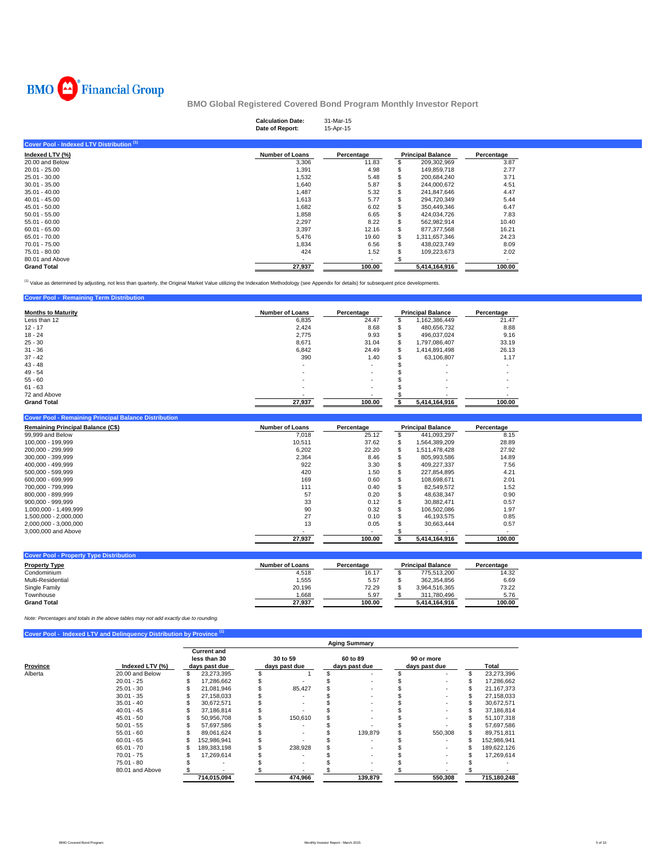

|                                           | <b>Calculation Date:</b><br>Date of Report: | 31-Mar-15<br>15-Apr-15   |                          |            |
|-------------------------------------------|---------------------------------------------|--------------------------|--------------------------|------------|
| Cover Pool - Indexed LTV Distribution (1) |                                             |                          |                          |            |
| Indexed LTV (%)                           | <b>Number of Loans</b>                      | Percentage               | <b>Principal Balance</b> | Percentage |
| 20.00 and Below                           | 3,306                                       | 11.83                    | 209,302,969              | 3.87       |
| $20.01 - 25.00$                           | 1,391                                       | 4.98                     | 149,859,718              | 2.77       |
| $25.01 - 30.00$                           | 1,532                                       | 5.48                     | 200,684,240              | 3.71       |
| $30.01 - 35.00$                           | 1,640                                       | 5.87                     | 244.000.672              | 4.51       |
| $35.01 - 40.00$                           | 1,487                                       | 5.32                     | 241,847,646              | 4.47       |
| $40.01 - 45.00$                           | 1,613                                       | 5.77                     | 294,720,349              | 5.44       |
| $45.01 - 50.00$                           | 1,682                                       | 6.02                     | 350,449,346              | 6.47       |
| $50.01 - 55.00$                           | 1,858                                       | 6.65                     | 424,034,726              | 7.83       |
| $55.01 - 60.00$                           | 2,297                                       | 8.22                     | 562,982,914              | 10.40      |
| $60.01 - 65.00$                           | 3,397                                       | 12.16                    | 877,377,568              | 16.21      |
| 65.01 - 70.00                             | 5,476                                       | 19.60                    | 1,311,657,346            | 24.23      |
| 70.01 - 75.00                             | 1,834                                       | 6.56                     | 438,023,749              | 8.09       |
| 75.01 - 80.00                             | 424                                         | 1.52                     | 109,223,673              | 2.02       |
| 80.01 and Above                           |                                             | $\overline{\phantom{a}}$ |                          |            |
| <b>Grand Total</b>                        | 27,937                                      | 100.00                   | 5,414,164,916            | 100.00     |

<sup>(1)</sup> Value as determined by adjusting, not less than quarterly, the Original Market Value utilizing the Indexation Methodology (see Appendix for details) for subsequent price developments.

| <b>Cover Pool - Remaining Term Distribution</b> |                        |                          |   |                          |                          |
|-------------------------------------------------|------------------------|--------------------------|---|--------------------------|--------------------------|
| <b>Months to Maturity</b>                       | <b>Number of Loans</b> | Percentage               |   | <b>Principal Balance</b> | Percentage               |
| Less than 12                                    | 6.835                  | 24.47                    |   | 1,162,386,449            | 21.47                    |
| $12 - 17$                                       | 2,424                  | 8.68                     | э | 480.656.732              | 8.88                     |
| $18 - 24$                                       | 2,775                  | 9.93                     |   | 496,037,024              | 9.16                     |
| $25 - 30$                                       | 8,671                  | 31.04                    | S | 1.797.086.407            | 33.19                    |
| $31 - 36$                                       | 6.842                  | 24.49                    |   | 1,414,891,498            | 26.13                    |
| $37 - 42$                                       | 390                    | 1.40                     |   | 63,106,807               | 1.17                     |
| $43 - 48$                                       |                        |                          |   |                          |                          |
| $49 - 54$                                       | ۰                      | $\overline{\phantom{a}}$ |   |                          | $\overline{\phantom{a}}$ |
| $55 - 60$                                       |                        |                          |   | $\sim$                   |                          |
| $61 - 63$                                       |                        | $\overline{\phantom{a}}$ |   | $\sim$                   | $\overline{\phantom{a}}$ |
| 72 and Above                                    |                        |                          |   |                          |                          |
| <b>Grand Total</b>                              | 27.937                 | 100.00                   |   | 5.414.164.916            | 100.00                   |

| <b>Cover Pool - Remaining Principal Balance Distribution</b> |                        |            |   |                          |            |
|--------------------------------------------------------------|------------------------|------------|---|--------------------------|------------|
| <b>Remaining Principal Balance (C\$)</b>                     | <b>Number of Loans</b> | Percentage |   | <b>Principal Balance</b> | Percentage |
| 99,999 and Below                                             | 7,018                  | 25.12      |   | 441.093.297              | 8.15       |
| 100,000 - 199,999                                            | 10.511                 | 37.62      | S | 1,564,389,209            | 28.89      |
| 200.000 - 299.999                                            | 6,202                  | 22.20      | S | 1.511.478.428            | 27.92      |
| 300.000 - 399.999                                            | 2,364                  | 8.46       |   | 805.993.586              | 14.89      |
| 400.000 - 499.999                                            | 922                    | 3.30       |   | 409.227.337              | 7.56       |
| 500.000 - 599.999                                            | 420                    | 1.50       | s | 227,854,895              | 4.21       |
| 600.000 - 699.999                                            | 169                    | 0.60       |   | 108.698.671              | 2.01       |
| 700.000 - 799.999                                            | 111                    | 0.40       |   | 82.549.572               | 1.52       |
| 800.000 - 899.999                                            | 57                     | 0.20       |   | 48.638.347               | 0.90       |
| $900.000 - 999.999$                                          | 33                     | 0.12       |   | 30.882.471               | 0.57       |
| 1.000.000 - 1.499.999                                        | 90                     | 0.32       | S | 106.502.086              | 1.97       |
| 1.500.000 - 2.000.000                                        | 27                     | 0.10       |   | 46.193.575               | 0.85       |
| 2.000.000 - 3.000.000                                        | 13                     | 0.05       |   | 30.663.444               | 0.57       |
| 3,000,000 and Above                                          |                        |            |   |                          |            |
|                                                              | 27.937                 | 100.00     |   | 5.414.164.916            | 100.00     |

| <b>Cover Pool - Property Type Distribution</b> |                 |            |                          |            |
|------------------------------------------------|-----------------|------------|--------------------------|------------|
| <b>Property Type</b>                           | Number of Loans | Percentage | <b>Principal Balance</b> | Percentage |
| Condominium                                    | 4,518           | 16.17      | 775.513.200              | 14.32      |
| Multi-Residential                              | 1.555           | 5.57       | 362.354.856              | 6.69       |
| Single Family                                  | 20.196          | 72.29      | 3.964.516.365            | 73.22      |
| Townhouse                                      | 1,668           | 5.97       | 311.780.496              | 5.76       |
| <b>Grand Total</b>                             | 27,937          | 100.00     | 5.414.164.916            | 100.00     |

*Note: Percentages and totals in the above tables may not add exactly due to rounding.*

|          |                 |    |                                                     |                           | <b>Aging Summary</b>      |                             |                  |
|----------|-----------------|----|-----------------------------------------------------|---------------------------|---------------------------|-----------------------------|------------------|
| Province | Indexed LTV (%) |    | <b>Current and</b><br>less than 30<br>days past due | 30 to 59<br>days past due | 60 to 89<br>days past due | 90 or more<br>days past due | Total            |
| Alberta  | 20.00 and Below | \$ | 23,273,395                                          |                           |                           |                             | \$<br>23,273,396 |
|          | $20.01 - 25$    |    | 17.286.662                                          |                           |                           |                             | 17,286,662       |
|          | $25.01 - 30$    | ж  | 21.081.946                                          | 85.427                    |                           |                             | 21, 167, 373     |
|          | $30.01 - 35$    |    | 27.158.033                                          |                           |                           |                             | 27,158,033       |
|          | $35.01 - 40$    |    | 30,672,571                                          |                           |                           |                             | 30,672,571       |
|          | $40.01 - 45$    |    | 37,186,814                                          |                           |                           |                             | 37,186,814       |
|          | $45.01 - 50$    |    | 50,956,708                                          | 150,610                   |                           |                             | 51,107,318       |
|          | $50.01 - 55$    |    | 57,697,586                                          |                           |                           |                             | 57,697,586       |
|          | $55.01 - 60$    |    | 89,061,624                                          |                           | 139,879                   | 550,308                     | 89,751,811       |
|          | $60.01 - 65$    |    | 152,986,941                                         |                           |                           |                             | 152,986,941      |
|          | $65.01 - 70$    |    | 189,383,198                                         | 238,928                   |                           |                             | 189,622,126      |
|          | $70.01 - 75$    |    | 17,269,614                                          |                           |                           |                             | 17,269,614       |
|          | 75.01 - 80      |    |                                                     | $\sim$                    |                           |                             |                  |
|          | 80.01 and Above |    |                                                     |                           |                           |                             |                  |
|          |                 |    | 714,015,094                                         | 474.966                   | 139.879                   | 550.308                     | 715,180,248      |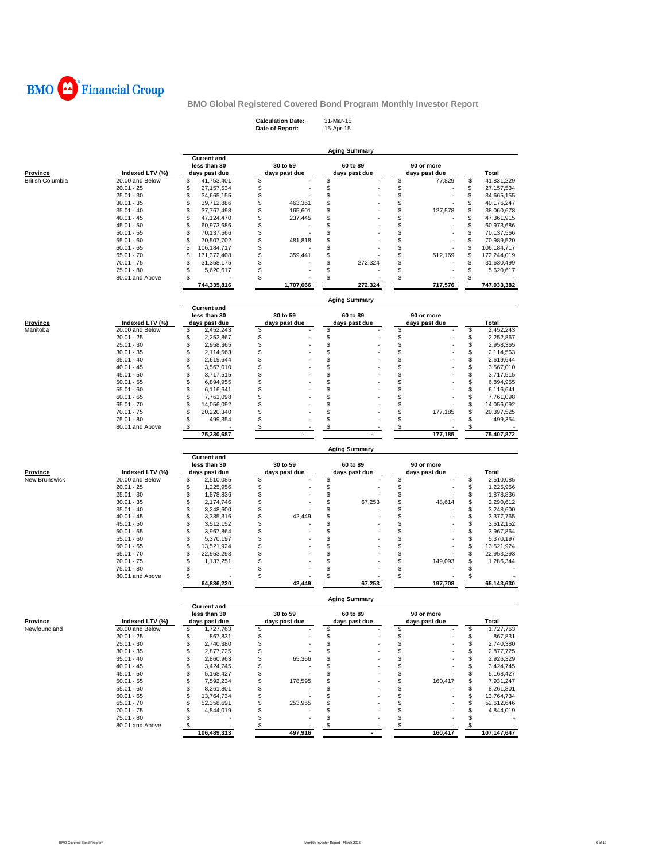

**Calculation Date:** 31-Mar-15 **Date of Report:** 15-Apr-15

|                                            |                                    |                                    |                     | <b>Aging Summary</b> |                               |                                    |
|--------------------------------------------|------------------------------------|------------------------------------|---------------------|----------------------|-------------------------------|------------------------------------|
|                                            |                                    | <b>Current and</b>                 |                     |                      |                               |                                    |
|                                            |                                    | less than 30                       | 30 to 59            | 60 to 89             | 90 or more                    |                                    |
| <b>Province</b><br><b>British Columbia</b> | Indexed LTV (%)<br>20.00 and Below | days past due<br>\$<br>41,753,401  | days past due<br>\$ | days past due<br>\$  | days past due<br>\$<br>77,829 | Total<br>\$<br>41,831,229          |
|                                            | $20.01 - 25$                       | \$<br>27, 157, 534                 | \$                  | \$                   | \$                            | \$<br>27, 157, 534                 |
|                                            | $25.01 - 30$                       | \$<br>34,665,155                   | \$                  | \$                   | \$                            | \$<br>34,665,155                   |
|                                            | $30.01 - 35$                       | \$<br>39,712,886                   | \$<br>463,361       | \$                   | \$                            | \$<br>40,176,247                   |
|                                            | $35.01 - 40$                       | \$<br>37,767,498                   | \$<br>165,601       | \$                   | \$<br>127,578                 | \$<br>38,060,678                   |
|                                            | $40.01 - 45$                       | \$<br>47,124,470                   | \$<br>237,445       | \$                   | \$                            | \$<br>47,361,915                   |
|                                            | $45.01 - 50$                       | \$<br>60,973,686                   | \$                  | \$                   | \$                            | \$<br>60,973,686                   |
|                                            | $50.01 - 55$                       | \$<br>70,137,566                   | \$                  | \$                   | \$                            | \$<br>70,137,566                   |
|                                            | $55.01 - 60$                       | \$<br>70,507,702                   | \$<br>481,818       | \$                   | \$                            | \$<br>70,989,520                   |
|                                            | $60.01 - 65$                       | \$<br>106,184,717                  | \$                  | \$                   | \$                            | \$<br>106,184,717                  |
|                                            | $65.01 - 70$                       | \$<br>171,372,408                  | \$<br>359,441       | \$                   | \$<br>512,169                 | \$<br>172,244,019                  |
|                                            | $70.01 - 75$                       | \$<br>31,358,175                   | \$                  | \$<br>272,324        | \$                            | \$<br>31,630,499                   |
|                                            | $75.01 - 80$                       | \$<br>5,620,617                    | \$                  | \$                   | \$                            | \$<br>5,620,617                    |
|                                            | 80.01 and Above                    | \$                                 | \$                  | \$                   | \$                            | \$                                 |
|                                            |                                    | 744,335,816                        | 1,707,666           | 272,324              | 717,576                       | 747,033,382                        |
|                                            |                                    |                                    |                     |                      |                               |                                    |
|                                            |                                    | <b>Current and</b>                 |                     | <b>Aging Summary</b> |                               |                                    |
|                                            |                                    | less than 30                       | 30 to 59            | 60 to 89             | 90 or more                    |                                    |
| <b>Province</b>                            | Indexed LTV (%)                    | days past due                      | days past due       | days past due        | days past due                 | <b>Total</b>                       |
| Manitoba                                   | 20.00 and Below                    | \$<br>2,452,243                    | \$                  | \$                   | \$                            | \$<br>2,452,243                    |
|                                            | $20.01 - 25$                       | \$<br>2,252,867                    | \$                  | \$                   | \$                            | \$<br>2,252,867                    |
|                                            | $25.01 - 30$                       | \$<br>2,958,365                    | \$                  | \$                   | \$                            | \$<br>2,958,365                    |
|                                            | $30.01 - 35$                       | \$<br>2,114,563                    | \$                  | \$                   | \$                            | \$<br>2,114,563                    |
|                                            | $35.01 - 40$                       | \$<br>2,619,644                    | \$                  | \$                   | \$                            | \$<br>2,619,644                    |
|                                            | $40.01 - 45$                       | \$<br>3,567,010                    | \$                  | \$                   | \$                            | \$<br>3,567,010                    |
|                                            | $45.01 - 50$                       | \$<br>3,717,515                    | \$                  | \$                   | \$                            | \$<br>3,717,515                    |
|                                            | $50.01 - 55$                       | \$<br>6,894,955                    | \$                  | \$                   | \$                            | \$<br>6,894,955                    |
|                                            | $55.01 - 60$                       | \$<br>6,116,641                    | \$                  | \$                   | \$                            | \$<br>6,116,641                    |
|                                            | $60.01 - 65$                       | \$<br>7,761,098                    | \$                  | \$                   | \$                            | \$<br>7,761,098                    |
|                                            | $65.01 - 70$                       | \$<br>14,056,092                   | \$                  | S                    | \$                            | \$<br>14,056,092                   |
|                                            | $70.01 - 75$                       | \$<br>20,220,340                   | \$                  | \$                   | \$<br>177,185                 | \$<br>20,397,525                   |
|                                            | $75.01 - 80$                       | \$<br>499,354                      | \$                  | \$                   | \$                            | \$<br>499,354                      |
|                                            | 80.01 and Above                    | \$                                 | \$                  | \$                   | \$                            | \$                                 |
|                                            |                                    | 75,230,687                         | $\blacksquare$      |                      | 177,185                       | 75,407,872                         |
|                                            |                                    |                                    |                     |                      |                               |                                    |
|                                            |                                    |                                    |                     |                      |                               |                                    |
|                                            |                                    |                                    |                     | <b>Aging Summary</b> |                               |                                    |
|                                            |                                    | <b>Current and</b>                 |                     |                      |                               |                                    |
|                                            |                                    | less than 30                       | 30 to 59            | 60 to 89             | 90 or more                    |                                    |
| Province                                   | Indexed LTV (%)                    | days past due                      | days past due       | days past due        | days past due                 | Total                              |
| New Brunswick                              | 20.00 and Below                    | \$<br>2,510,085                    | \$                  | \$                   | \$                            | \$<br>2,510,085                    |
|                                            | $20.01 - 25$                       | \$<br>1,225,956                    | \$                  | \$                   | \$                            | \$<br>1,225,956                    |
|                                            | $25.01 - 30$                       | \$<br>1,878,836                    | \$                  | \$                   | \$                            | \$<br>1,878,836                    |
|                                            | $30.01 - 35$                       | \$<br>2,174,746                    | \$                  | \$<br>67,253         | \$<br>48,614                  | \$<br>2,290,612                    |
|                                            | $35.01 - 40$                       | \$<br>3,248,600                    | \$                  | \$                   | \$                            | \$<br>3,248,600                    |
|                                            | $40.01 - 45$<br>$45.01 - 50$       | \$<br>3,335,316<br>3,512,152       | \$<br>42,449<br>\$  | \$<br>\$             | \$<br>\$                      | \$<br>3,377,765<br>\$<br>3,512,152 |
|                                            | $50.01 - 55$                       | \$<br>\$<br>3,967,864              | \$                  | \$                   | \$                            | \$<br>3,967,864                    |
|                                            | $55.01 - 60$                       | \$<br>5,370,197                    | \$                  | \$                   | \$                            | \$<br>5,370,197                    |
|                                            | $60.01 - 65$                       | \$<br>13,521,924                   | \$                  | \$                   | \$                            | \$<br>13,521,924                   |
|                                            | $65.01 - 70$                       | \$<br>22,953,293                   | \$                  | S                    | \$                            | \$<br>22,953,293                   |
|                                            | $70.01 - 75$                       | \$<br>1,137,251                    | \$                  | \$                   | \$<br>149,093                 | \$<br>1,286,344                    |
|                                            | 75.01 - 80                         | \$                                 | \$                  | \$                   | \$                            | \$                                 |
|                                            | 80.01 and Above                    | \$                                 | \$                  | \$                   | \$                            | \$                                 |
|                                            |                                    | 64,836,220                         | 42,449              | 67,253               | 197,708                       | 65,143,630                         |
|                                            |                                    |                                    |                     |                      |                               |                                    |
|                                            |                                    |                                    |                     | <b>Aging Summary</b> |                               |                                    |
|                                            |                                    | <b>Current and</b>                 |                     |                      |                               |                                    |
|                                            |                                    | less than 30                       | 30 to 59            | 60 to 89             | 90 or more                    |                                    |
| <b>Province</b>                            | Indexed LTV (%)                    | days past due                      | days past due       | days past due        | days past due                 | Total                              |
| Newfoundland                               | 20.00 and Below                    | \$<br>1,727,763                    | \$                  | \$                   | S                             | \$<br>1,727,763                    |
|                                            | $20.01 - 25$                       | \$<br>867,831                      | \$                  | S<br>\$              | \$                            | 867,831<br>\$<br>2,740,380         |
|                                            | $25.01 - 30$<br>$30.01 - 35$       | \$<br>2,740,380<br>\$<br>2,877,725 | \$<br>\$            | \$                   | \$<br>\$                      | \$<br>2,877,725<br>\$              |
|                                            | $35.01 - 40$                       | \$<br>2,860,963                    | \$<br>65,366        | \$                   | \$                            | 2,926,329<br>\$                    |
|                                            | $40.01 - 45$                       | \$<br>3,424,745                    | \$                  | \$                   | \$                            | \$<br>3,424,745                    |
|                                            | $45.01 - 50$                       | \$<br>5,168,427                    | \$                  | \$                   | \$                            | 5,168,427<br>\$                    |
|                                            | $50.01 - 55$                       | \$<br>7,592,234                    | \$<br>178,595       | S                    | \$<br>160,417                 | 7,931,247<br>\$                    |
|                                            | $55.01 - 60$                       | \$<br>8,261,801                    | \$                  | S                    | \$                            | \$<br>8,261,801                    |
|                                            | $60.01 - 65$                       | \$<br>13,764,734                   | \$                  | \$.                  | \$                            | \$<br>13,764,734                   |
|                                            | $65.01 - 70$                       | \$<br>52,358,691                   | \$<br>253,955       | \$                   | \$                            | \$<br>52,612,646                   |
|                                            | $70.01 - 75$                       | 4,844,019<br>\$                    | \$                  | \$                   | \$                            | 4,844,019<br>\$                    |
|                                            | 75.01 - 80                         | \$                                 | \$                  | \$                   | \$                            | \$                                 |
|                                            | 80.01 and Above                    | \$<br>106,489,313                  | \$<br>497,916       | \$                   | \$<br>160,417                 | \$<br>107,147,647                  |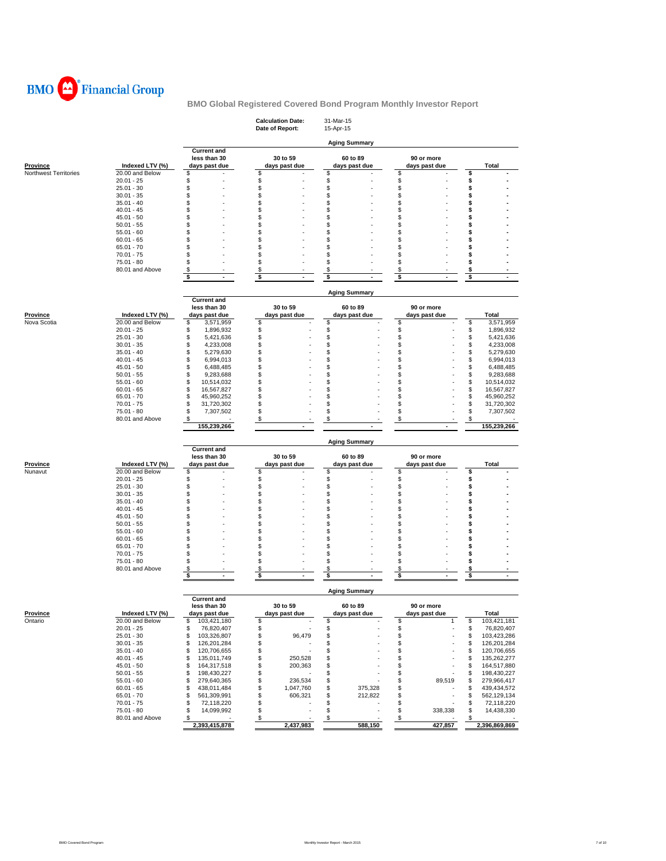

|                       |                                    |                               | <b>Calculation Date:</b><br>Date of Report: | 31-Mar-15<br>15-Apr-15    |                             |                               |
|-----------------------|------------------------------------|-------------------------------|---------------------------------------------|---------------------------|-----------------------------|-------------------------------|
|                       |                                    | <b>Current and</b>            |                                             | <b>Aging Summary</b>      |                             |                               |
| <b>Province</b>       | Indexed LTV (%)                    | less than 30<br>days past due | 30 to 59<br>days past due                   | 60 to 89<br>days past due | 90 or more<br>days past due | Total                         |
| Northwest Territories | 20.00 and Below                    | \$                            | \$                                          | \$                        | \$                          | \$                            |
|                       | $20.01 - 25$                       | \$                            | \$                                          | \$                        | \$                          | \$                            |
|                       | $25.01 - 30$                       | \$                            | \$                                          | \$                        | \$                          | \$                            |
|                       | $30.01 - 35$                       | \$                            | \$                                          | \$                        | \$                          | \$                            |
|                       | $35.01 - 40$                       | \$                            | \$                                          | \$                        | \$                          | \$                            |
|                       | $40.01 - 45$                       | \$                            | \$                                          | \$                        | \$                          | \$                            |
|                       | $45.01 - 50$                       | \$                            | \$<br>\$                                    | S                         | \$                          | \$                            |
|                       | $50.01 - 55$                       | \$<br>\$                      | \$                                          | \$<br>\$                  | \$<br>\$                    | \$<br>\$                      |
|                       | $55.01 - 60$                       | \$                            | \$                                          | \$                        | \$                          | \$                            |
|                       | $60.01 - 65$<br>$65.01 - 70$       | \$                            | \$                                          | S                         | \$                          | \$                            |
|                       | $70.01 - 75$                       | \$                            | \$                                          | \$                        | \$                          | \$                            |
|                       | $75.01 - 80$                       | \$                            | \$                                          | \$                        | \$                          | \$                            |
|                       | 80.01 and Above                    | \$                            | \$                                          | \$                        | \$                          | \$                            |
|                       |                                    | \$<br>$\blacksquare$          | \$<br>$\overline{\phantom{a}}$              | \$                        | \$                          | \$                            |
|                       |                                    |                               |                                             |                           |                             |                               |
|                       |                                    |                               |                                             | <b>Aging Summary</b>      |                             |                               |
|                       |                                    | <b>Current and</b>            |                                             |                           |                             |                               |
|                       |                                    | less than 30                  | 30 to 59                                    | 60 to 89                  | 90 or more                  |                               |
| <b>Province</b>       | Indexed LTV (%)                    | days past due                 | days past due                               | days past due             | days past due               | Total                         |
| Nova Scotia           | 20.00 and Below                    | \$<br>3,571,959               | \$                                          | \$                        | \$                          | \$<br>3,571,959               |
|                       | $20.01 - 25$                       | \$<br>1,896,932               | \$                                          | \$                        | \$                          | \$<br>1,896,932               |
|                       | $25.01 - 30$<br>$30.01 - 35$       | \$<br>5,421,636               | \$                                          | \$                        | \$                          | \$<br>5,421,636               |
|                       |                                    | \$<br>4,233,008               | \$                                          | \$                        | \$                          | \$<br>4,233,008               |
|                       | $35.01 - 40$<br>$40.01 - 45$       | \$<br>5,279,630<br>\$         | \$<br>\$                                    | \$<br>\$                  | \$<br>\$                    | \$<br>5,279,630<br>\$         |
|                       |                                    | 6,994,013<br>\$               | \$                                          | \$                        | \$                          | 6,994,013                     |
|                       | $45.01 - 50$<br>$50.01 - 55$       | 6,488,485<br>\$               | \$                                          | \$                        | \$                          | \$<br>6,488,485<br>\$         |
|                       | $55.01 - 60$                       | 9,283,688<br>\$<br>10,514,032 | \$                                          | \$                        | \$                          | 9,283,688<br>\$<br>10,514,032 |
|                       | $60.01 - 65$                       | \$<br>16,567,827              | \$                                          | \$                        | \$                          | \$<br>16,567,827              |
|                       | $65.01 - 70$                       | \$<br>45,960,252              | \$                                          | \$                        | \$                          | \$<br>45,960,252              |
|                       | $70.01 - 75$                       | \$<br>31,720,302              | \$                                          | \$                        | \$                          | \$<br>31,720,302              |
|                       | 75.01 - 80                         | \$<br>7,307,502               | \$                                          | \$                        | \$                          | \$<br>7,307,502               |
|                       | 80.01 and Above                    | \$                            | \$                                          | \$                        | \$                          | \$                            |
|                       |                                    | 155,239,266                   |                                             |                           |                             | 155,239,266                   |
|                       |                                    |                               |                                             |                           |                             |                               |
|                       |                                    |                               |                                             |                           |                             |                               |
|                       |                                    |                               |                                             | <b>Aging Summary</b>      |                             |                               |
|                       |                                    | <b>Current and</b>            |                                             |                           |                             |                               |
|                       |                                    | less than 30                  | 30 to 59                                    | 60 to 89                  | 90 or more                  |                               |
| Province<br>Nunavut   | Indexed LTV (%)<br>20.00 and Below | days past due<br>\$           | days past due<br>\$                         | days past due<br>\$       | days past due<br>\$         | Total<br>\$                   |
|                       | $20.01 - 25$                       | \$                            | \$                                          |                           | \$                          | \$                            |
|                       | $25.01 - 30$                       | \$                            | \$                                          | \$<br>\$                  | \$                          | \$                            |
|                       | $30.01 - 35$                       | \$                            | \$                                          | \$                        | \$                          | \$                            |
|                       | $35.01 - 40$                       | \$                            | \$                                          | \$                        | \$                          | \$                            |
|                       | $40.01 - 45$                       | \$                            | \$                                          | \$                        | \$                          | \$                            |
|                       | $45.01 - 50$                       | \$                            | \$                                          | \$                        | S                           | \$                            |
|                       | $50.01 - 55$                       | \$                            | \$                                          | S                         | \$                          | \$                            |
|                       | $55.01 - 60$                       | \$                            | \$                                          | S                         | \$                          | \$                            |
|                       | $60.01 - 65$                       | \$                            | \$                                          | \$                        | \$                          | \$                            |
|                       | $65.01 - 70$                       | \$                            | \$                                          | \$                        | \$                          | \$                            |
|                       | $70.01 - 75$                       | \$                            | \$                                          | \$                        | \$                          | \$                            |
|                       | 75.01 - 80                         | \$                            | \$                                          | \$                        | \$                          | \$                            |
|                       | 80.01 and Above                    | \$<br>$\sim$                  | \$<br>$\sim$                                | \$<br>$\blacksquare$      | \$<br>$\blacksquare$        | \$<br>$\sim$                  |
|                       |                                    | \$                            | \$                                          | \$                        | \$                          | \$                            |
|                       |                                    |                               |                                             | <b>Aging Summary</b>      |                             |                               |
|                       |                                    | <b>Current and</b>            |                                             |                           |                             |                               |
|                       |                                    | less than 30                  | 30 to 59                                    | 60 to 89                  | 90 or more                  |                               |
| Province              | Indexed LTV (%)                    | days past due                 | days past due                               | days past due             | days past due               | Total                         |
| Ontario               | 20.00 and Below                    | \$<br>103,421,180             | \$                                          | \$                        | \$<br>1                     | \$<br>103,421,181             |
|                       | $20.01 - 25$                       | \$<br>76,820,407              | \$                                          | \$                        | \$                          | \$<br>76,820,407              |
|                       | $25.01 - 30$                       | \$<br>103,326,807             | \$<br>96,479                                | \$                        | \$                          | 103,423,286<br>\$             |
|                       | $30.01 - 35$                       | \$<br>126,201,284             | \$                                          | \$                        | \$                          | 126,201,284<br>\$             |
|                       | $35.01 - 40$                       | \$<br>120,706,655             | \$                                          | \$                        | \$                          | \$<br>120,706,655             |
|                       | $40.01 - 45$                       | \$<br>135,011,749             | \$<br>250,528                               | \$                        | \$                          | \$<br>135,262,277             |
|                       | $45.01 - 50$                       | \$<br>164,317,518             | \$<br>200,363                               | \$                        | \$                          | \$<br>164,517,880             |
|                       | $50.01 - 55$                       | \$<br>198,430,227             | \$                                          | \$                        | \$                          | \$<br>198,430,227             |
|                       | $55.01 - 60$                       | \$<br>279,640,365             | \$<br>236,534                               | \$                        | \$<br>89,519                | \$<br>279,966,417             |
|                       | $60.01 - 65$                       | \$<br>438,011,484             | \$<br>1,047,760                             | \$<br>375,328             | \$                          | 439,434,572<br>\$             |
|                       | $65.01 - 70$                       | \$<br>561,309,991             | \$<br>606,321                               | \$<br>212,822             | \$                          | \$<br>562,129,134             |
|                       | $70.01 - 75$                       | \$<br>72,118,220              | \$                                          | \$                        | \$                          | \$<br>72,118,220              |
|                       | 75.01 - 80<br>80.01 and Above      | \$<br>14,099,992<br>\$        | \$<br>\$                                    | \$<br>\$                  | \$<br>338,338<br>\$         | \$<br>14,438,330              |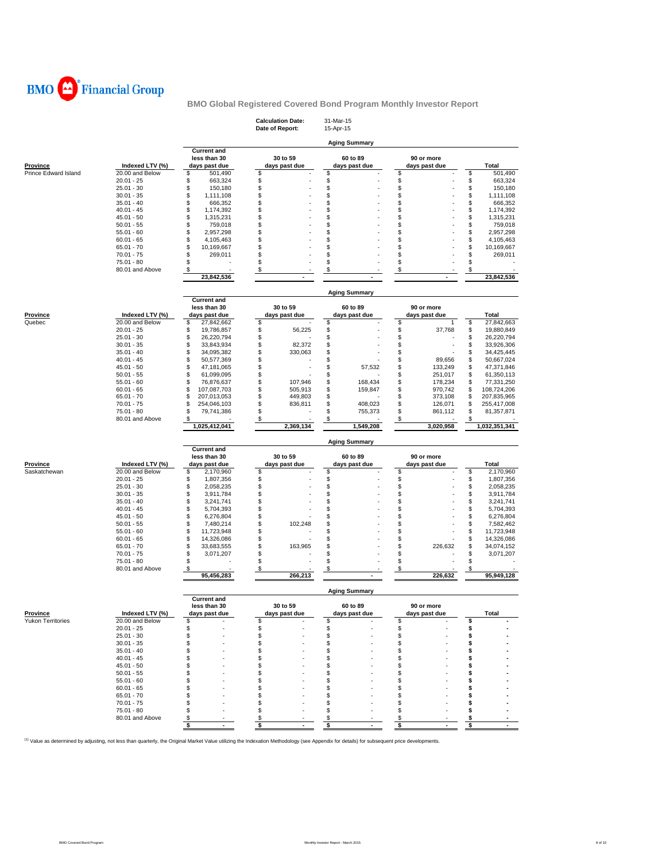

|                                      |                 |                                    | <b>Calculation Date:</b><br>Date of Report: | 31-Mar-15<br>15-Apr-15 |                      |                   |
|--------------------------------------|-----------------|------------------------------------|---------------------------------------------|------------------------|----------------------|-------------------|
|                                      |                 |                                    |                                             | <b>Aging Summary</b>   |                      |                   |
|                                      |                 | <b>Current and</b><br>less than 30 | 30 to 59                                    | 60 to 89               | 90 or more           |                   |
| <b>Province</b>                      | Indexed LTV (%) | days past due                      | days past due                               | days past due          | days past due        | Total             |
| Prince Edward Island                 | 20.00 and Below | \$<br>501,490                      | \$                                          | \$                     | \$                   | \$<br>501,490     |
|                                      | $20.01 - 25$    | \$<br>663,324                      | \$                                          | \$                     | \$                   | \$<br>663,324     |
|                                      | $25.01 - 30$    | \$<br>150,180                      | \$                                          | \$                     | \$                   | \$<br>150,180     |
|                                      | $30.01 - 35$    | \$<br>1,111,108                    | \$                                          | \$                     | \$                   | \$<br>1,111,108   |
|                                      | $35.01 - 40$    | \$<br>666,352                      | \$                                          | \$                     | \$                   | \$<br>666,352     |
|                                      | $40.01 - 45$    | \$<br>1,174,392                    | \$                                          | \$                     | \$                   | \$<br>1,174,392   |
|                                      | $45.01 - 50$    | \$<br>1,315,231                    | \$                                          | \$                     | \$<br>×,             | \$<br>1,315,231   |
|                                      | $50.01 - 55$    | \$<br>759,018                      | \$                                          | \$                     | \$                   | \$<br>759,018     |
|                                      | $55.01 - 60$    | \$<br>2,957,298                    | \$                                          | \$                     | \$<br>i.             | \$<br>2,957,298   |
|                                      | $60.01 - 65$    | \$<br>4,105,463                    | \$                                          | \$                     | \$                   | \$<br>4,105,463   |
|                                      | $65.01 - 70$    | \$<br>10,169,667                   | \$                                          | \$                     | \$                   | \$<br>10,169,667  |
|                                      | $70.01 - 75$    | \$<br>269,011                      | \$                                          | \$                     | \$                   | \$<br>269,011     |
|                                      | 75.01 - 80      | \$                                 | \$                                          | \$                     | \$                   | \$                |
|                                      | 80.01 and Above | \$                                 | \$                                          | \$                     | \$                   | \$                |
|                                      |                 | 23,842,536                         | $\sim$                                      |                        | $\ddot{\phantom{1}}$ | 23,842,536        |
|                                      |                 |                                    |                                             |                        |                      |                   |
|                                      |                 | <b>Current and</b>                 |                                             | <b>Aging Summary</b>   |                      |                   |
|                                      |                 | less than 30                       | 30 to 59                                    | 60 to 89               | 90 or more           |                   |
| <b>Province</b>                      | Indexed LTV (%) | days past due                      | days past due                               | days past due          | days past due        | Total             |
| Quebec                               | 20.00 and Below | \$<br>27,842,662                   | \$                                          | \$                     | \$<br>1              | \$<br>27,842,663  |
|                                      | $20.01 - 25$    | \$<br>19,786,857                   | \$<br>56,225                                | \$                     | \$<br>37,768         | \$<br>19,880,849  |
|                                      | $25.01 - 30$    | \$<br>26,220,794                   | \$                                          | \$                     | \$                   | \$<br>26,220,794  |
|                                      | $30.01 - 35$    | \$<br>33,843,934                   | \$<br>82,372                                | \$                     | \$<br>ä,             | \$<br>33,926,306  |
|                                      | $35.01 - 40$    | \$<br>34,095,382                   | \$<br>330,063                               | \$                     | \$                   | \$<br>34,425,445  |
|                                      | $40.01 - 45$    | \$<br>50,577,369                   | \$                                          | \$                     | \$<br>89,656         | \$<br>50,667,024  |
|                                      | $45.01 - 50$    | \$<br>47,181,065                   | \$                                          | \$<br>57,532           | \$<br>133,249        | \$<br>47,371,846  |
|                                      | $50.01 - 55$    | \$<br>61,099,095                   | \$                                          | \$                     | \$<br>251,017        | \$<br>61,350,113  |
|                                      | $55.01 - 60$    | \$<br>76,876,637                   | \$<br>107,946                               | 168,434<br>\$          | \$<br>178,234        | \$<br>77,331,250  |
|                                      | $60.01 - 65$    | \$<br>107,087,703                  | \$<br>505,913                               | \$<br>159,847          | \$<br>970,742        | \$<br>108,724,206 |
|                                      | $65.01 - 70$    | \$<br>207,013,053                  | \$<br>449,803                               | \$                     | \$<br>373,108        | \$<br>207,835,965 |
|                                      | $70.01 - 75$    | \$<br>254,046,103                  | \$<br>836,811                               | \$<br>408,023          | \$<br>126,071        | \$<br>255,417,008 |
|                                      | 75.01 - 80      | \$<br>79,741,386                   | \$                                          | \$<br>755,373          | \$<br>861,112        | \$<br>81,357,871  |
|                                      | 80.01 and Above | \$                                 | \$                                          | \$                     | \$                   | \$                |
|                                      |                 | 1,025,412,041                      | 2,369,134                                   | 1,549,208              | 3,020,958            | 1,032,351,341     |
|                                      |                 |                                    |                                             | <b>Aging Summary</b>   |                      |                   |
|                                      |                 | <b>Current and</b>                 |                                             |                        |                      |                   |
|                                      |                 | less than 30                       | 30 to 59                                    | 60 to 89               | 90 or more           |                   |
| Province                             | Indexed LTV (%) | days past due                      | days past due                               | days past due          | days past due        | Total             |
| Saskatchewan                         | 20.00 and Below | \$<br>2,170,960                    | \$                                          | \$                     | \$<br>٠              | \$<br>2,170,960   |
|                                      | $20.01 - 25$    | \$<br>1,807,356                    | \$                                          | \$                     | \$                   | \$<br>1,807,356   |
|                                      | $25.01 - 30$    | \$<br>2,058,235                    | \$                                          | \$                     | \$                   | \$<br>2,058,235   |
|                                      | $30.01 - 35$    | \$<br>3,911,784                    | \$                                          | \$                     | \$                   | \$<br>3,911,784   |
|                                      | $35.01 - 40$    | \$<br>3,241,741                    | \$                                          | \$                     | \$                   | \$<br>3,241,741   |
|                                      | $40.01 - 45$    | \$<br>5,704,393                    | \$                                          | \$                     | \$                   | \$<br>5,704,393   |
|                                      | $45.01 - 50$    | \$<br>6,276,804                    | \$                                          | \$                     | \$<br>i.             | \$<br>6,276,804   |
|                                      | $50.01 - 55$    | \$<br>7,480,214                    | \$<br>102,248                               | \$                     | \$                   | \$<br>7,582,462   |
|                                      | $55.01 - 60$    | \$<br>11,723,948                   | \$                                          | \$                     | \$<br>ä,             | \$<br>11,723,948  |
|                                      | $60.01 - 65$    | \$<br>14,326,086                   | \$                                          | \$                     | \$                   | \$<br>14,326,086  |
|                                      | $65.01 - 70$    | \$<br>33,683,555                   | \$<br>163,965                               | \$                     | \$<br>226,632        | \$<br>34,074,152  |
|                                      |                 |                                    |                                             |                        |                      |                   |
|                                      | $70.01 - 75$    | \$<br>3,071,207                    | \$                                          | \$                     | \$                   | \$<br>3,071,207   |
|                                      | $75.01 - 80$    | \$                                 | \$                                          | \$                     | \$                   | \$                |
|                                      | 80.01 and Above | \$                                 | \$                                          | \$                     | \$                   | \$                |
|                                      |                 | 95,456,283                         | 266,213                                     |                        | 226,632              | 95,949,128        |
|                                      |                 |                                    |                                             | <b>Aging Summary</b>   |                      |                   |
|                                      |                 | <b>Current and</b><br>less than 30 | 30 to 59                                    | 60 to 89               | 90 or more           |                   |
|                                      | Indexed LTV (%) | days past due                      | days past due                               | days past due          | days past due        | <b>Total</b>      |
|                                      | 20.00 and Below | \$                                 | \$                                          | \$                     | \$                   | \$                |
|                                      | $20.01 - 25$    | \$                                 | \$                                          | \$                     | \$                   | \$                |
|                                      | $25.01 - 30$    | \$                                 | \$                                          | \$                     | \$                   | \$                |
|                                      | $30.01 - 35$    | \$                                 | \$                                          | \$                     | \$                   | \$                |
|                                      | $35.01 - 40$    | \$                                 | \$                                          | \$                     | \$                   | \$                |
|                                      | $40.01 - 45$    | \$                                 | \$                                          | \$                     | \$                   | \$                |
|                                      | $45.01 - 50$    | \$                                 | \$                                          | \$                     | \$                   | \$                |
|                                      | $50.01 - 55$    | \$                                 | \$                                          | \$                     | \$                   | s                 |
|                                      | $55.01 - 60$    | \$                                 | \$                                          | \$                     | \$                   | S                 |
|                                      | $60.01 - 65$    | \$                                 | \$                                          | S                      | S                    | s                 |
|                                      | $65.01 - 70$    | \$                                 | \$                                          | s                      | \$                   | s                 |
|                                      | $70.01 - 75$    | \$                                 | \$                                          | S                      | \$                   | \$                |
|                                      | $75.01 - 80$    | \$                                 | \$                                          | \$                     | \$                   | s                 |
| Province<br><b>Yukon Territories</b> | 80.01 and Above | \$<br>$\sqrt[6]{\frac{1}{2}}$      | \$<br>\$                                    | \$<br>\$               | \$<br><u>\$</u>      | \$<br>\$          |

<sup>(1)</sup> Value as determined by adjusting, not less than quarterly, the Original Market Value utilizing the Indexation Methodology (see Appendix for details) for subsequent price developments.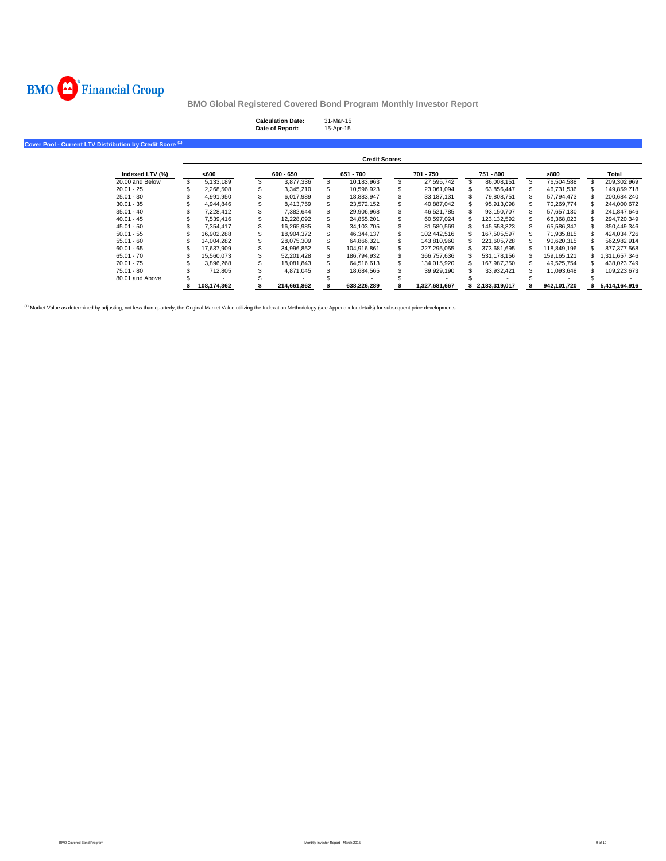

| <b>Calculation Date:</b> | 31-Mar-15 |
|--------------------------|-----------|
| Date of Report:          | 15-Apr-15 |

**Cover Pool - Current LTV Distribution by Credit Score (1)**

|                 |             |             | <b>Credit Scores</b> |               |               |             |               |
|-----------------|-------------|-------------|----------------------|---------------|---------------|-------------|---------------|
| Indexed LTV (%) | <600        | $600 - 650$ | 651 - 700            | 701 - 750     | 751 - 800     | >800        | Total         |
| 20.00 and Below | 5.133.189   | 3.877.336   | 10.183.963           | 27.595.742    | 86.008.151    | 76.504.588  | 209.302.969   |
| $20.01 - 25$    | 2.268.508   | 3.345.210   | 10.596.923           | 23.061.094    | 63.856.447    | 46,731,536  | 149.859.718   |
| $25.01 - 30$    | 4.991.950   | 6.017.989   | 18.883.947           | 33.187.131    | 79.808.751    | 57.794.473  | 200.684.240   |
| $30.01 - 35$    | 4.944.846   | 8.413.759   | 23.572.152           | 40.887.042    | 95.913.098    | 70.269.774  | 244.000.672   |
| $35.01 - 40$    | 7.228.412   | 7.382.644   | 29.906.968           | 46.521.785    | 93.150.707    | 57.657.130  | 241.847.646   |
| $40.01 - 45$    | 7.539.416   | 12.228.092  | 24.855.201           | 60.597.024    | 123.132.592   | 66.368.023  | 294.720.349   |
| $45.01 - 50$    | 7.354.417   | 16.265.985  | 34.103.705           | 81.580.569    | 145.558.323   | 65.586.347  | 350.449.346   |
| $50.01 - 55$    | 16.902.288  | 18.904.372  | 46.344.137           | 102.442.516   | 167.505.597   | 71.935.815  | 424.034.726   |
| $55.01 - 60$    | 14.004.282  | 28.075.309  | 64.866.321           | 143.810.960   | 221.605.728   | 90.620.315  | 562.982.914   |
| $60.01 - 65$    | 17.637.909  | 34.996.852  | 104.916.861          | 227.295.055   | 373.681.695   | 118.849.196 | 877.377.568   |
| $65.01 - 70$    | 15.560.073  | 52.201.428  | 186.794.932          | 366.757.636   | 531.178.156   | 159.165.121 | .311.657.346  |
| $70.01 - 75$    | 3.896.268   | 18.081.843  | 64.516.613           | 134.015.920   | 167.987.350   | 49.525.754  | 438.023.749   |
| $75.01 - 80$    | 712.805     | 4.871.045   | 18.684.565           | 39.929.190    | 33.932.421    | 11.093.648  | 109.223.673   |
| 80.01 and Above |             |             |                      |               |               |             |               |
|                 | 108.174.362 | 214.661.862 | 638.226.289          | 1,327,681,667 | 2.183.319.017 | 942.101.720 | 5.414.164.916 |

<sup>(1)</sup> Market Value as determined by adjusting, not less than quarterly, the Original Market Value utilizing the Indexation Methodology (see Appendix for details) for subsequent price developments.